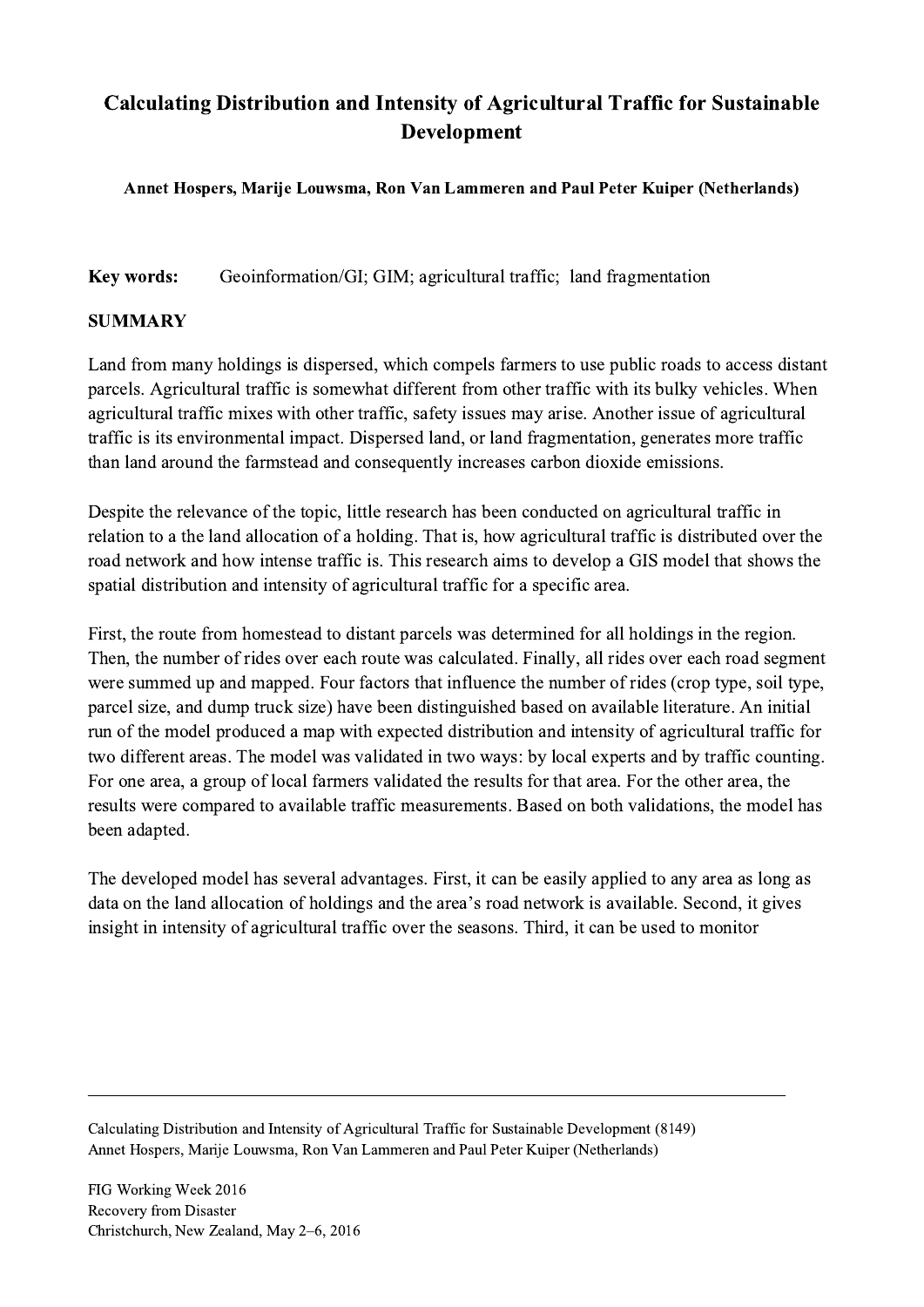## Calculating Distribution and Intensity of Agricultural Traffic for Sustainable Development

## Annet Hospers, Marije Louwsma, Ron Van Lammeren and Paul Peter Kuiper (Netherlands)

Key words: Geoinformation/GI; GIM; agricultural traffic; land fragmentation

## SUMMARY

Land from many holdings is dispersed, which compels farmers to use public roads to access distant parcels. Agricultural traffic is somewhat different from other traffic with its bulky vehicles. When agricultural traffic mixes with other traffic, safety issues may arise. Another issue of agricultural traffic is its environmental impact. Dispersed land, or land fragmentation, generates more traffic than land around the farmstead and consequently increases carbon dioxide emissions.

Despite the relevance of the topic, little research has been conducted on agricultural traffic in relation to a the land allocation of a holding. That is, how agricultural traffic is distributed over the road network and how intense traffic is. This research aims to develop a GIS model that shows the spatial distribution and intensity of agricultural traffic for a specific area.

First, the route from homestead to distant parcels was determined for all holdings in the region. Then, the number of rides over each route was calculated. Finally, all rides over each road segment were summed up and mapped. Four factors that influence the number of rides (crop type, soil type, parcel size, and dump truck size) have been distinguished based on available literature. An initial run of the model produced a map with expected distribution and intensity of agricultural traffic for two different areas. The model was validated in two ways: by local experts and by traffic counting. For one area, a group of local farmers validated the results for that area. For the other area, the results were compared to available traffic measurements. Based on both validations, the model has been adapted.

The developed model has several advantages. First, it can be easily applied to any area as long as data on the land allocation of holdings and the area's road network is available. Second, it gives insight in intensity of agricultural traffic over the seasons. Third, it can be used to monitor

 $\mathcal{L}_\mathcal{L} = \{ \mathcal{L}_\mathcal{L} = \{ \mathcal{L}_\mathcal{L} = \{ \mathcal{L}_\mathcal{L} = \{ \mathcal{L}_\mathcal{L} = \{ \mathcal{L}_\mathcal{L} = \{ \mathcal{L}_\mathcal{L} = \{ \mathcal{L}_\mathcal{L} = \{ \mathcal{L}_\mathcal{L} = \{ \mathcal{L}_\mathcal{L} = \{ \mathcal{L}_\mathcal{L} = \{ \mathcal{L}_\mathcal{L} = \{ \mathcal{L}_\mathcal{L} = \{ \mathcal{L}_\mathcal{L} = \{ \mathcal{L}_\mathcal{$ 

Calculating Distribution and Intensity of Agricultural Traffic for Sustainable Development (8149) Annet Hospers, Marije Louwsma, Ron Van Lammeren and Paul Peter Kuiper (Netherlands)